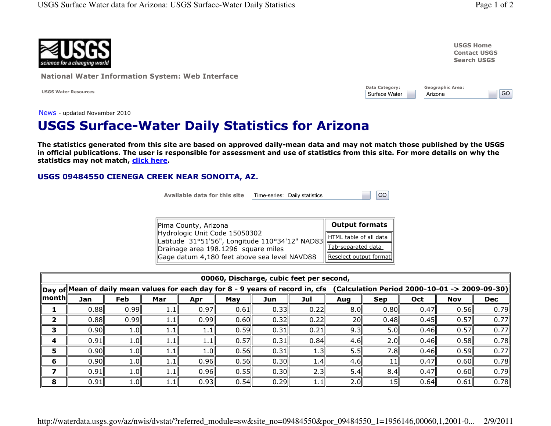$|GO|$ 



**National Water Information System: Web Interface** 

**USGS Water Resources** 

| <b>USGS Home</b>    |
|---------------------|
| <b>Contact USGS</b> |
| <b>Search USGS</b>  |

| <b>Data Category:</b> | <b>Geographic Area:</b> |
|-----------------------|-------------------------|
| Surface Water         | Arizona                 |

 $GO$ 

News - updated November 2010

## **USGS Surface-Water Daily Statistics for Arizona**

The statistics generated from this site are based on approved daily-mean data and may not match those published by the USGS in official publications. The user is responsible for assessment and use of statistics from this site. For more details on why the statistics may not match, click here.

## USGS 09484550 CIENEGA CREEK NEAR SONOITA, AZ.

Available data for this site

Time-series: Daily statistics

| Pima County, Arizona                                                                                   | <b>Output formats</b>  |
|--------------------------------------------------------------------------------------------------------|------------------------|
| Hydrologic Unit Code 15050302<br>Latitude 31°51'56", Longitude 110°34'12" NAD83 ETML table of all data |                        |
| Drainage area 198.1296 square miles                                                                    | Tab-separated data     |
| Gage datum 4,180 feet above sea level NAVD88                                                           | Reselect output format |

| 00060, Discharge, cubic feet per second, |                                                                                 |      |      |      |      |      |      |           |                                               |      |            |            |  |  |
|------------------------------------------|---------------------------------------------------------------------------------|------|------|------|------|------|------|-----------|-----------------------------------------------|------|------------|------------|--|--|
|                                          | Day of Mean of daily mean values for each day for 8 - 9 years of record in, cfs |      |      |      |      |      |      |           | (Calculation Period 2000-10-01 -> 2009-09-30) |      |            |            |  |  |
| $\ $ month $\ $                          | Jan                                                                             | Feb  | Mar  | Apr  | May  | Jun  | Jul  | Aug       | <b>Sep</b>                                    | Oct  | <b>Nov</b> | <b>Dec</b> |  |  |
|                                          | 0.88                                                                            | 0.99 | 1.1  | 0.97 | 0.61 | 0.33 | 0.22 | 8.0       | 0.80                                          | 0.47 | 0.56       | 0.79       |  |  |
|                                          | 0.88                                                                            | 0.99 | 1.11 | 0.99 | 0.60 | 0.32 | 0.22 | <b>20</b> | 0.48                                          | 0.45 | 0.57       | 0.77       |  |  |
|                                          | 0.90                                                                            | 1.0  | 1.II | 1.1  | 0.59 | 0.31 | 0.21 | 9.3       | 5.0                                           | 0.46 | 0.57       | 0.77       |  |  |
|                                          | 0.91                                                                            | 1.0  | 1.1  | 1.1  | 0.57 | 0.31 | 0.84 | 4.6       | 2.0                                           | 0.46 | 0.58       | 0.78       |  |  |
|                                          | 0.90                                                                            | 1.0  | 1.11 | 1.0  | 0.56 | 0.31 | 1.3  | 5.5       | 7.8I                                          | 0.46 | 0.59       | 0.77       |  |  |
| 6                                        | 0.90                                                                            | 1.0  | 1.1  | 0.96 | 0.56 | 0.30 | 1.4  | 4.6       | 11                                            | 0.47 | 0.60       | 0.78       |  |  |
|                                          | 0.91                                                                            | 1.0  |      | 0.96 | 0.55 | 0.30 | 2.3  | 5.4       | 8.4                                           | 0.47 | 0.60       | 0.79       |  |  |
| 8                                        | 0.91                                                                            | 1.0  | 1.1∥ | 0.93 | 0.54 | 0.29 | 1.1  | 2.0       | 15                                            | 0.64 | 0.61       | 0.78       |  |  |